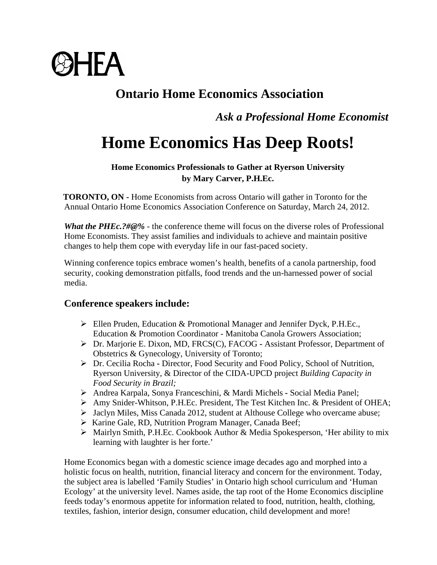

## **Ontario Home Economics Association**

 *Ask a Professional Home Economist*

## **Home Economics Has Deep Roots!**

## **Home Economics Professionals to Gather at Ryerson University by Mary Carver, P.H.Ec.**

 **TORONTO, ON -** Home Economists from across Ontario will gather in Toronto for the Annual Ontario Home Economics Association Conference on Saturday, March 24, 2012.

*What the PHEc.?#@%* - the conference theme will focus on the diverse roles of Professional Home Economists. They assist families and individuals to achieve and maintain positive changes to help them cope with everyday life in our fast-paced society.

Winning conference topics embrace women's health, benefits of a canola partnership, food security, cooking demonstration pitfalls, food trends and the un-harnessed power of social media.

## **Conference speakers include:**

- $\triangleright$  Ellen Pruden, Education & Promotional Manager and Jennifer Dyck, P.H.Ec., Education & Promotion Coordinator - Manitoba Canola Growers Association;
- [Dr. Marjorie E. Dixon, MD, FRCS\(C\), FACOG](http://www.firststepsfertility.ca/team/marjorie-e-dixon-md-frcsc-facog.html)Assistant Professor, Department of Obstetrics & Gynecology, University of Toronto;
- Dr. Cecilia Rocha **-** Director, Food Security and Food Policy, School of Nutrition, Ryerson University, & Director of the CIDA-UPCD project *Building Capacity in Food Security in Brazil;*
- Andrea Karpala, Sonya Franceschini, & Mardi Michels Social Media Panel;
- Amy Snider-Whitson, P.H.Ec. President, The Test Kitchen Inc. & President of OHEA;
- $\triangleright$  Jaclyn Miles, Miss Canada 2012, student at Althouse College who overcame abuse;
- ▶ Karine Gale, RD, Nutrition Program Manager, Canada Beef;
- Mairlyn Smith, P.H.Ec. Cookbook Author & Media Spokesperson, 'Her ability to mix learning with laughter is her forte.'

Home Economics began with a domestic science image decades ago and morphed into a holistic focus on health, nutrition, financial literacy and concern for the environment. Today, the subject area is labelled 'Family Studies' in Ontario high school curriculum and 'Human Ecology' at the university level. Names aside, the tap root of the Home Economics discipline feeds today's enormous appetite for information related to food, nutrition, health, clothing, textiles, fashion, interior design, consumer education, child development and more!